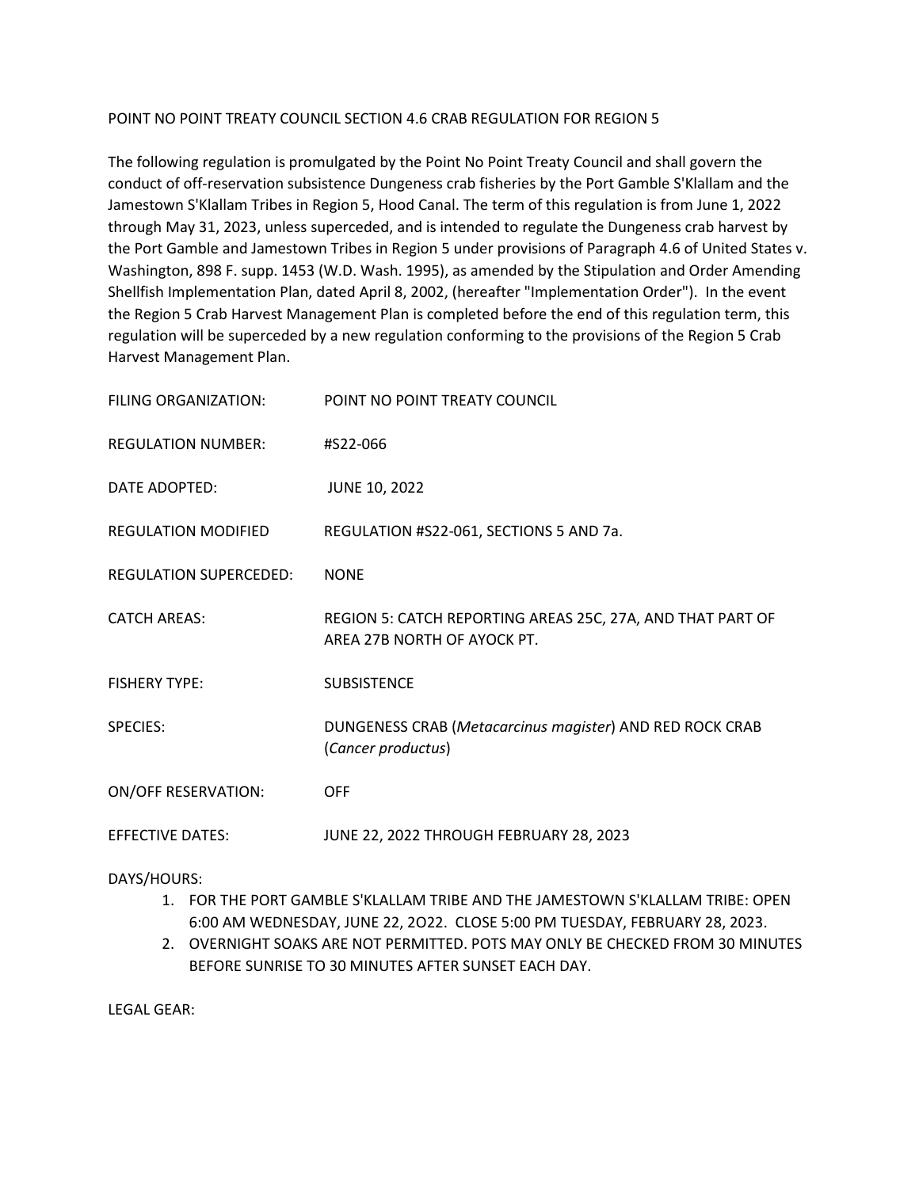### POINT NO POINT TREATY COUNCIL SECTION 4.6 CRAB REGULATION FOR REGION 5

The following regulation is promulgated by the Point No Point Treaty Council and shall govern the conduct of off-reservation subsistence Dungeness crab fisheries by the Port Gamble S'Klallam and the Jamestown S'Klallam Tribes in Region 5, Hood Canal. The term of this regulation is from June 1, 2022 through May 31, 2023, unless superceded, and is intended to regulate the Dungeness crab harvest by the Port Gamble and Jamestown Tribes in Region 5 under provisions of Paragraph 4.6 of United States v. Washington, 898 F. supp. 1453 (W.D. Wash. 1995), as amended by the Stipulation and Order Amending Shellfish Implementation Plan, dated April 8, 2002, (hereafter "Implementation Order"). In the event the Region 5 Crab Harvest Management Plan is completed before the end of this regulation term, this regulation will be superceded by a new regulation conforming to the provisions of the Region 5 Crab Harvest Management Plan.

| FILING ORGANIZATION:          | POINT NO POINT TREATY COUNCIL                                                             |
|-------------------------------|-------------------------------------------------------------------------------------------|
| <b>REGULATION NUMBER:</b>     | #S22-066                                                                                  |
| DATE ADOPTED:                 | <b>JUNE 10, 2022</b>                                                                      |
| REGULATION MODIFIED           | REGULATION #S22-061, SECTIONS 5 AND 7a.                                                   |
| <b>REGULATION SUPERCEDED:</b> | <b>NONE</b>                                                                               |
| <b>CATCH AREAS:</b>           | REGION 5: CATCH REPORTING AREAS 25C, 27A, AND THAT PART OF<br>AREA 27B NORTH OF AYOCK PT. |
| <b>FISHERY TYPE:</b>          | <b>SUBSISTENCE</b>                                                                        |
| <b>SPECIES:</b>               | DUNGENESS CRAB (Metacarcinus magister) AND RED ROCK CRAB<br>(Cancer productus)            |
| <b>ON/OFF RESERVATION:</b>    | <b>OFF</b>                                                                                |
| <b>EFFECTIVE DATES:</b>       | JUNE 22, 2022 THROUGH FEBRUARY 28, 2023                                                   |

#### DAYS/HOURS:

- 1. FOR THE PORT GAMBLE S'KLALLAM TRIBE AND THE JAMESTOWN S'KLALLAM TRIBE: OPEN 6:00 AM WEDNESDAY, JUNE 22, 2O22. CLOSE 5:00 PM TUESDAY, FEBRUARY 28, 2023.
- 2. OVERNIGHT SOAKS ARE NOT PERMITTED. POTS MAY ONLY BE CHECKED FROM 30 MINUTES BEFORE SUNRISE TO 30 MINUTES AFTER SUNSET EACH DAY.

LEGAL GEAR: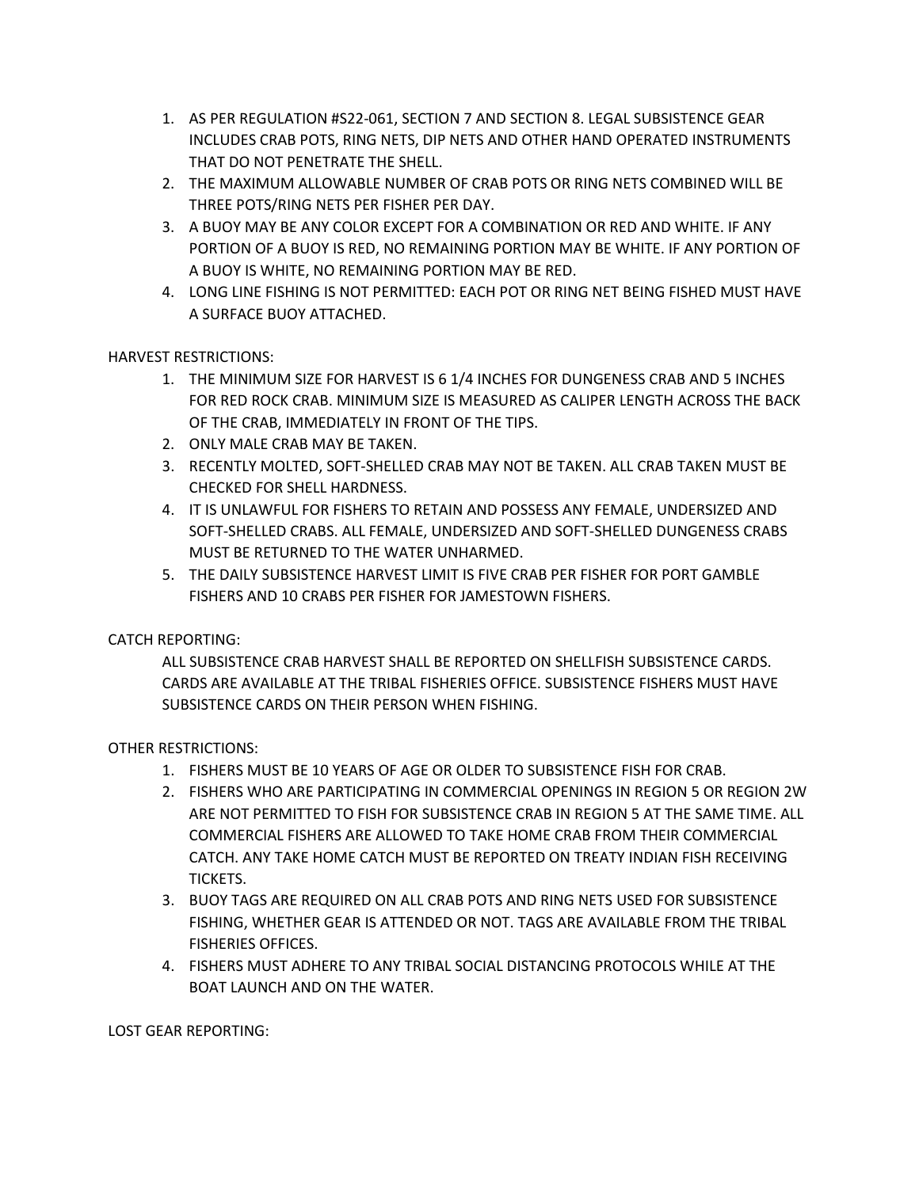- 1. AS PER REGULATION #S22-061, SECTION 7 AND SECTION 8. LEGAL SUBSISTENCE GEAR INCLUDES CRAB POTS, RING NETS, DIP NETS AND OTHER HAND OPERATED INSTRUMENTS THAT DO NOT PENETRATE THE SHELL.
- 2. THE MAXIMUM ALLOWABLE NUMBER OF CRAB POTS OR RING NETS COMBINED WILL BE THREE POTS/RING NETS PER FISHER PER DAY.
- 3. A BUOY MAY BE ANY COLOR EXCEPT FOR A COMBINATION OR RED AND WHITE. IF ANY PORTION OF A BUOY IS RED, NO REMAINING PORTION MAY BE WHITE. IF ANY PORTION OF A BUOY IS WHITE, NO REMAINING PORTION MAY BE RED.
- 4. LONG LINE FISHING IS NOT PERMITTED: EACH POT OR RING NET BEING FISHED MUST HAVE A SURFACE BUOY ATTACHED.

## HARVEST RESTRICTIONS:

- 1. THE MINIMUM SIZE FOR HARVEST IS 6 1/4 INCHES FOR DUNGENESS CRAB AND 5 INCHES FOR RED ROCK CRAB. MINIMUM SIZE IS MEASURED AS CALIPER LENGTH ACROSS THE BACK OF THE CRAB, IMMEDIATELY IN FRONT OF THE TIPS.
- 2. ONLY MALE CRAB MAY BE TAKEN.
- 3. RECENTLY MOLTED, SOFT-SHELLED CRAB MAY NOT BE TAKEN. ALL CRAB TAKEN MUST BE CHECKED FOR SHELL HARDNESS.
- 4. IT IS UNLAWFUL FOR FISHERS TO RETAIN AND POSSESS ANY FEMALE, UNDERSIZED AND SOFT-SHELLED CRABS. ALL FEMALE, UNDERSIZED AND SOFT-SHELLED DUNGENESS CRABS MUST BE RETURNED TO THE WATER UNHARMED.
- 5. THE DAILY SUBSISTENCE HARVEST LIMIT IS FIVE CRAB PER FISHER FOR PORT GAMBLE FISHERS AND 10 CRABS PER FISHER FOR JAMESTOWN FISHERS.

# CATCH REPORTING:

ALL SUBSISTENCE CRAB HARVEST SHALL BE REPORTED ON SHELLFISH SUBSISTENCE CARDS. CARDS ARE AVAILABLE AT THE TRIBAL FISHERIES OFFICE. SUBSISTENCE FISHERS MUST HAVE SUBSISTENCE CARDS ON THEIR PERSON WHEN FISHING.

## OTHER RESTRICTIONS:

- 1. FISHERS MUST BE 10 YEARS OF AGE OR OLDER TO SUBSISTENCE FISH FOR CRAB.
- 2. FISHERS WHO ARE PARTICIPATING IN COMMERCIAL OPENINGS IN REGION 5 OR REGION 2W ARE NOT PERMITTED TO FISH FOR SUBSISTENCE CRAB IN REGION 5 AT THE SAME TIME. ALL COMMERCIAL FISHERS ARE ALLOWED TO TAKE HOME CRAB FROM THEIR COMMERCIAL CATCH. ANY TAKE HOME CATCH MUST BE REPORTED ON TREATY INDIAN FISH RECEIVING TICKETS.
- 3. BUOY TAGS ARE REQUIRED ON ALL CRAB POTS AND RING NETS USED FOR SUBSISTENCE FISHING, WHETHER GEAR IS ATTENDED OR NOT. TAGS ARE AVAILABLE FROM THE TRIBAL FISHERIES OFFICES.
- 4. FISHERS MUST ADHERE TO ANY TRIBAL SOCIAL DISTANCING PROTOCOLS WHILE AT THE BOAT LAUNCH AND ON THE WATER.

LOST GEAR REPORTING: